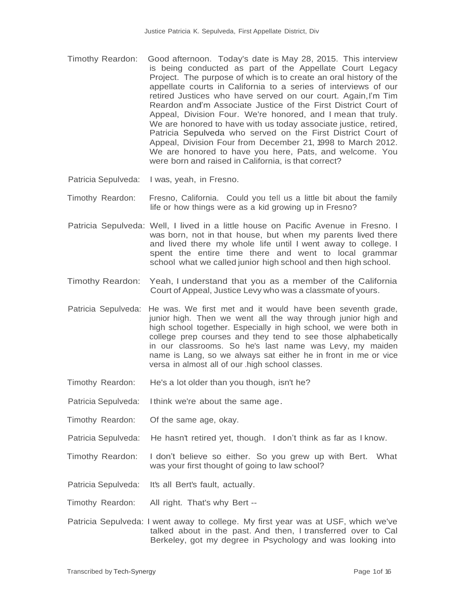- Timothy Reardon: Good afternoon. Today's date is May 28, 2015. This interview is being conducted as part of the Appellate Court Legacy Project. The purpose of which is to create an oral history of the appellate courts in California to a series of interviews of our retired Justices who have served on our court. Again,I'm Tim Reardon and'm Associate Justice of the First District Court of Appeal, Division Four. We're honored, and I mean that truly. We are honored to have with us today associate justice, retired, Patricia Sepulveda who served on the First District Court of Appeal, Division Four from December 21, 1998 to March 2012. We are honored to have you here, Pats, and welcome. You were born and raised in California, is that correct?
- Patricia Sepulveda: I was, yeah, in Fresno.

- Timothy Reardon: Fresno, California. Could you tell us a little bit about the family life or how things were as a kid growing up in Fresno?
- Patricia Sepulveda: Well, I lived in a little house on Pacific Avenue in Fresno. I was born, not in that house, but when my parents lived there and lived there my whole life until I went away to college. I spent the entire time there and went to local grammar school what we called junior high school and then high school.
- Timothy Reardon: Yeah, I understand that you as a member of the California Court of Appeal, Justice Levy who was a classmate of yours.
- Patricia Sepulveda: He was. We first met and it would have been seventh grade, junior high. Then we went all the way through junior high and high school together. Especially in high school, we were both in college prep courses and they tend to see those alphabetically in our classrooms. So he's last name was Levy, my maiden name is Lang, so we always sat either he in front in me or vice versa in almost all of our .high school classes.
- Timothy Reardon: He's a lot older than you though, isn't he?
- Patricia Sepulveda: I think we're about the same age.
- Timothy Reardon: Of the same age, okay.
- Patricia Sepulveda: He hasn't retired yet, though. I don't think as far as I know.
- Timothy Reardon: I don't believe so either. So you grew up with Bert. What was your first thought of going to law school?
- Patricia Sepulveda: It's all Bert's fault, actually.
- Timothy Reardon: All right. That's why Bert --
- Patricia Sepulveda: I went away to college. My first year was at USF, which we've talked about in the past. And then, I transferred over to Cal Berkeley, got my degree in Psychology and was looking into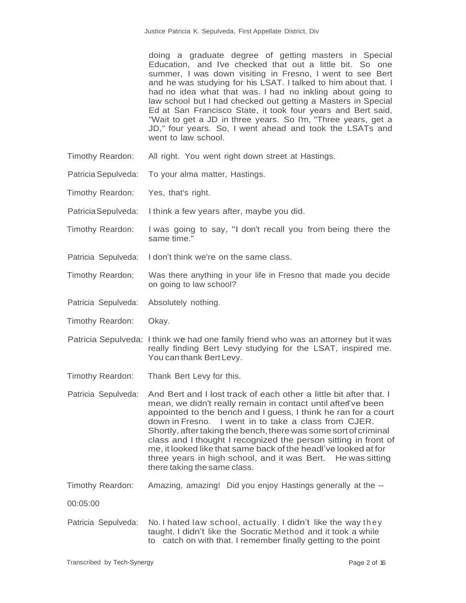doing a graduate degree of getting masters in Special Education, and I've checked that out a little bit. So one summer, I was down visiting in Fresno, I went to see Bert and he was studying for his LSAT. I talked to him about that. I had no idea what that was. I had no inkling about going to law school but I had checked out getting a Masters in Special Ed at San Francisco State, it took four years and Bert said, "Wait to get a JD in three years. So I'm, "Three years, get a JD," four years. So, I went ahead and took the LSATs and went to law school.

- Timothy Reardon: All right. You went right down street at Hastings.
- Patricia Sepulveda: To your alma matter, Hastings.
- Timothy Reardon: Yes, that's right.

- PatriciaSepulveda: I think a few years after, maybe you did.
- Timothy Reardon: I was going to say, "I don't recall you from being there the same time."
- Patricia Sepulveda: I don't think we're on the same class.
- Timothy Reardon: Was there anything in your life in Fresno that made you decide on going to law school?
- Patricia Sepulveda: Absolutely nothing.
- Timothy Reardon: Okay.
- Patricia Sepulveda: I think we had one family friend who was an attorney but it was really finding Bert Levy studying for the LSAT, inspired me. You can thank Bert Levy.
- Timothy Reardon: Thank Bert Levy for this.
- Patricia Sepulveda: And Bert and I lost track of each other a little bit after that. I mean, we didn't really remain in contact until aften've been appointed to the bench and I guess, I think he ran for a court down in Fresno. I went in to take a class from CJER. Shortly, after taking the bench, there was some sort of criminal class and I thought I recognized the person sitting in front of me, it looked like that same back of the headI've looked at for three years in high school, and it was Bert. He was sitting there taking the same class.
- Timothy Reardon: Amazing, amazing! Did you enjoy Hastings generally at the --
- 00:05:00
- Patricia Sepulveda: No. I hated law school, actually. I didn't like the way they taught. I didn't like the Socratic Method and it took a while to catch on with that. I remember finally getting to the point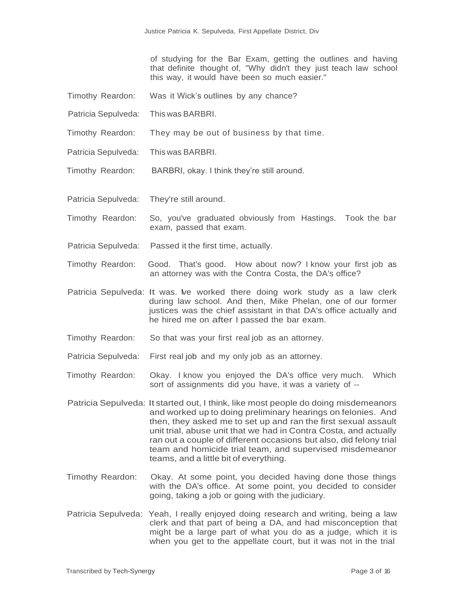of studying for the Bar Exam, getting the outlines and having that definite thought of, "Why didn't they just teach law school this way, it would have been so much easier."

- Timothy Reardon: Was it Wick's outlines by any chance?
- Patricia Sepulveda: This was BARBRI.

- Timothy Reardon: They may be out of business by that time.
- Patricia Sepulveda: This was BARBRI.
- Timothy Reardon: BARBRI, okay. I think they're still around.
- Patricia Sepulveda: They're still around.
- Timothy Reardon: So, you've graduated obviously from Hastings. Took the bar exam, passed that exam.
- Patricia Sepulveda: Passed it the first time, actually.
- Timothy Reardon: Good. That's good. How about now? I know your first job as an attorney was with the Contra Costa, the DA's office?
- Patricia Sepulveda: It was. We worked there doing work study as a law clerk during law school. And then, Mike Phelan, one of our former justices was the chief assistant in that DA's office actually and he hired me on after I passed the bar exam.
- Timothy Reardon: So that was your first real job as an attorney.
- Patricia Sepulveda: First real job and my only job as an attorney.
- Timothy Reardon: Okay. I know you enjoyed the DA's office very much. Which sort of assignments did you have, it was a variety of --
- Patricia Sepulveda: It started out, I think, like most people do doing misdemeanors and worked up to doing preliminary hearings on felonies. And then, they asked me to set up and ran the first sexual assault unit trial, abuse unit that we had in Contra Costa, and actually ran out a couple of different occasions but also, did felony trial team and homicide trial team, and supervised misdemeanor teams, and a little bit of everything.
- Timothy Reardon: Okay. At some point, you decided having done those things with the DA's office. At some point, you decided to consider going, taking a job or going with the judiciary.
- Patricia Sepulveda: Yeah, I really enjoyed doing research and writing, being a law clerk and that part of being a DA, and had misconception that might be a large part of what you do as a judge, which it is when you get to the appellate court, but it was not in the trial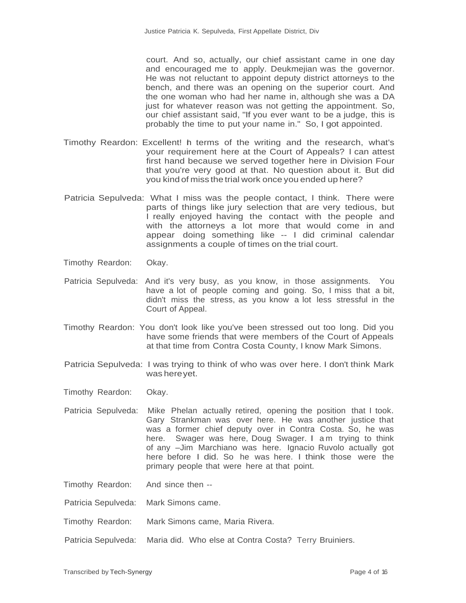court. And so, actually, our chief assistant came in one day and encouraged me to apply. Deukmejian was the governor. He was not reluctant to appoint deputy district attorneys to the bench, and there was an opening on the superior court. And the one woman who had her name in, although she was a DA just for whatever reason was not getting the appointment. So, our chief assistant said, "If you ever want to be a judge, this is probably the time to put your name in." So, I got appointed.

- Timothy Reardon: Excellent! In terms of the writing and the research, what's your requirement here at the Court of Appeals? I can attest first hand because we served together here in Division Four that you're very good at that. No question about it. But did you kind of miss the trial work once you ended up here?
- Patricia Sepulveda: What I miss was the people contact, I think. There were parts of things like jury selection that are very tedious, but I really enjoyed having the contact with the people and with the attorneys a lot more that would come in and appear doing something like -- I did criminal calendar assignments a couple of times on the trial court.
- Timothy Reardon: Okay.

One

- Patricia Sepulveda: And it's very busy, as you know, in those assignments. You have a lot of people coming and going. So, I miss that a bit, didn't miss the stress, as you know a lot less stressful in the Court of Appeal.
- Timothy Reardon: You don't look like you've been stressed out too long. Did you have some friends that were members of the Court of Appeals at that time from Contra Costa County, I know Mark Simons.
- Patricia Sepulveda: I was trying to think of who was over here. I don't think Mark was here vet.
- Timothy Reardon: Okay.
- Patricia Sepulveda: Mike Phelan actually retired, opening the position that I took. Gary Strankman was over here. He was another justice that was a former chief deputy over in Contra Costa. So, he was here. Swager was here, Doug Swager. I am trying to think of any –Jim Marchiano was here. Ignacio Ruvolo actually got here before I did. So he was here. I think those were the primary people that were here at that point.

Timothy Reardon: And since then --

- Patricia Sepulveda: Mark Simons came.
- Timothy Reardon: Mark Simons came, Maria Rivera.
- Patricia Sepulveda: Maria did. Who else at Contra Costa? Terry Bruiniers.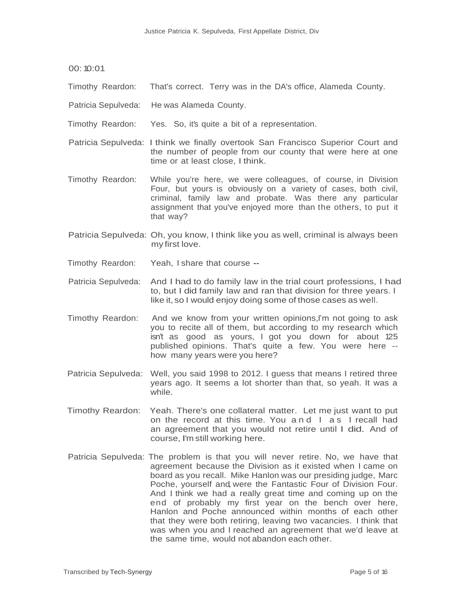00:10:01

Timothy Reardon: That's correct. Terry was in the DA's office, Alameda County.

Patricia Sepulveda: He was Alameda County.

- Timothy Reardon: Yes. So, it's quite a bit of a representation.
- Patricia Sepulveda: I think we finally overtook San Francisco Superior Court and the number of people from our county that were here at one time or at least close, I think.
- Timothy Reardon: While you're here, we were colleagues, of course, in Division Four, but yours is obviously on a variety of cases, both civil, criminal, family law and probate. Was there any particular assignment that you've enjoyed more than the others, to put it that way?
- Patricia Sepulveda: Oh, you know, I think like you as well, criminal is always been my first love.
- Timothy Reardon: Yeah, I share that course --
- Patricia Sepulveda: And I had to do family law in the trial court professions, I had to, but I did family law and ran that division for three years. I like it, so I would enjoy doing some of those cases as well.
- Timothy Reardon: And we know from your written opinions,I'm not going to ask you to recite all of them, but according to my research which isn't as good as yours, I got you down for about 125 published opinions. That's quite a few. You were here - how many years were you here?
- Patricia Sepulveda: Well, you said 1998 to 2012. I guess that means I retired three years ago. It seems a lot shorter than that, so yeah. It was a while.
- Timothy Reardon: Yeah. There's one collateral matter. Let me just want to put on the record at this time. You a n d I a s I recall had an agreement that you would not retire until I did. And of course, I'm still working here.
- Patricia Sepulveda: The problem is that you will never retire. No, we have that agreement because the Division as it existed when I came on board as you recall. Mike Hanlon was our presiding judge, Marc Poche, yourself and, were the Fantastic Four of Division Four. And I think we had a really great time and coming up on the end of probably my first year on the bench over here, Hanlon and Poche announced within months of each other that they were both retiring, leaving two vacancies. I think that was when you and I reached an agreement that we'd leave at the same time, would not abandon each other.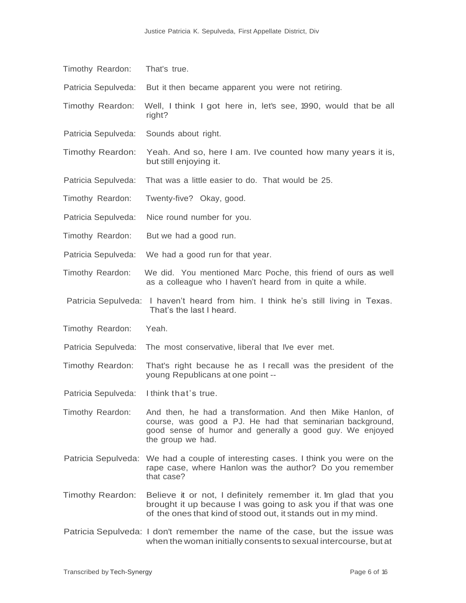| Timothy Reardon:        | That's true.                                                                                                                                                                                              |
|-------------------------|-----------------------------------------------------------------------------------------------------------------------------------------------------------------------------------------------------------|
| Patricia Sepulveda:     | But it then became apparent you were not retiring.                                                                                                                                                        |
| Timothy Reardon:        | Well, I think I got here in, let's see, 1990, would that be all<br>right?                                                                                                                                 |
| Patricia Sepulveda:     | Sounds about right.                                                                                                                                                                                       |
| <b>Timothy Reardon:</b> | Yeah. And so, here I am. I've counted how many years it is,<br>but still enjoying it.                                                                                                                     |
| Patricia Sepulveda:     | That was a little easier to do. That would be 25.                                                                                                                                                         |
| Timothy Reardon:        | Twenty-five? Okay, good.                                                                                                                                                                                  |
| Patricia Sepulveda:     | Nice round number for you.                                                                                                                                                                                |
| Timothy Reardon:        | But we had a good run.                                                                                                                                                                                    |
| Patricia Sepulveda:     | We had a good run for that year.                                                                                                                                                                          |
| Timothy Reardon:        | We did. You mentioned Marc Poche, this friend of ours as well<br>as a colleague who I haven't heard from in quite a while.                                                                                |
|                         | Patricia Sepulveda: I haven't heard from him. I think he's still living in Texas.<br>That's the last I heard.                                                                                             |
| Timothy Reardon:        | Yeah.                                                                                                                                                                                                     |
| Patricia Sepulveda:     | The most conservative, liberal that I've ever met.                                                                                                                                                        |
| Timothy Reardon:        | That's right because he as I recall was the president of the<br>young Republicans at one point --                                                                                                         |
| Patricia Sepulveda:     | I think that's true.                                                                                                                                                                                      |
| Timothy Reardon:        | And then, he had a transformation. And then Mike Hanlon, of<br>course, was good a PJ. He had that seminarian background,<br>good sense of humor and generally a good guy. We enjoyed<br>the group we had. |
|                         | Patricia Sepulveda: We had a couple of interesting cases. I think you were on the<br>rape case, where Hanlon was the author? Do you remember<br>that case?                                                |
| <b>Timothy Reardon:</b> | Believe it or not, I definitely remember it. Im glad that you<br>brought it up because I was going to ask you if that was one<br>of the ones that kind of stood out, it stands out in my mind.            |
|                         | Patricia Sepulveda: I don't remember the name of the case, but the issue was<br>when the woman initially consents to sexual intercourse, but at                                                           |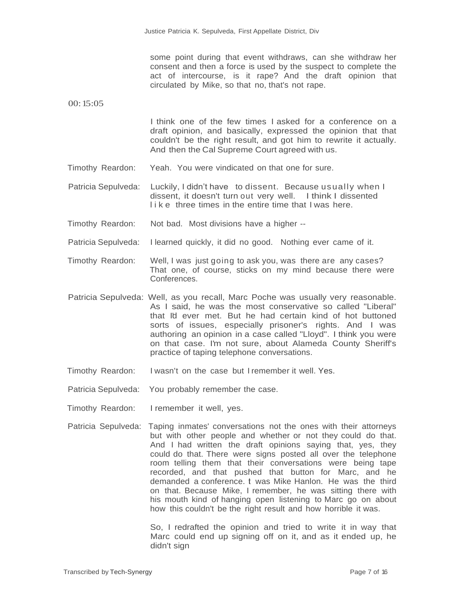some point during that event withdraws, can she withdraw her consent and then a force is used by the suspect to complete the act of intercourse, is it rape? And the draft opinion that circulated by Mike, so that no, that's not rape.

00:15:05

I think one of the few times I asked for a conference on a draft opinion, and basically, expressed the opinion that that couldn't be the right result, and got him to rewrite it actually. And then the Cal Supreme Court agreed with us.

- Timothy Reardon: Yeah. You were vindicated on that one for sure.
- Patricia Sepulveda: Luckily, I didn't have to dissent. Because usually when I dissent, it doesn't turn out very well. I think I dissented like three times in the entire time that I was here.
- Timothy Reardon: Not bad. Most divisions have a higher --

One

- Patricia Sepulveda: I learned quickly, it did no good. Nothing ever came of it.
- Timothy Reardon: Well, I was just going to ask you, was there are any cases? That one, of course, sticks on my mind because there were Conferences.
- Patricia Sepulveda: Well, as you recall, Marc Poche was usually very reasonable. As I said, he was the most conservative so called "Liberal" that I'd ever met. But he had certain kind of hot buttoned sorts of issues, especially prisoner's rights. And I was authoring an opinion in a case called "Lloyd". I think you were on that case. I'm not sure, about Alameda County Sheriff's practice of taping telephone conversations.
- Timothy Reardon: I wasn't on the case but I remember it well. Yes.
- Patricia Sepulveda: You probably remember the case.
- Timothy Reardon: I remember it well, yes.
- Patricia Sepulveda: Taping inmates' conversations not the ones with their attorneys but with other people and whether or not they could do that. And I had written the draft opinions saying that, yes, they could do that. There were signs posted all over the telephone room telling them that their conversations were being tape recorded, and that pushed that button for Marc, and he demanded a conference. I was Mike Hanlon. He was the third on that. Because Mike, I remember, he was sitting there with his mouth kind of hanging open listening to Marc go on about how this couldn't be the right result and how horrible it was.

So, I redrafted the opinion and tried to write it in way that Marc could end up signing off on it, and as it ended up, he didn't sign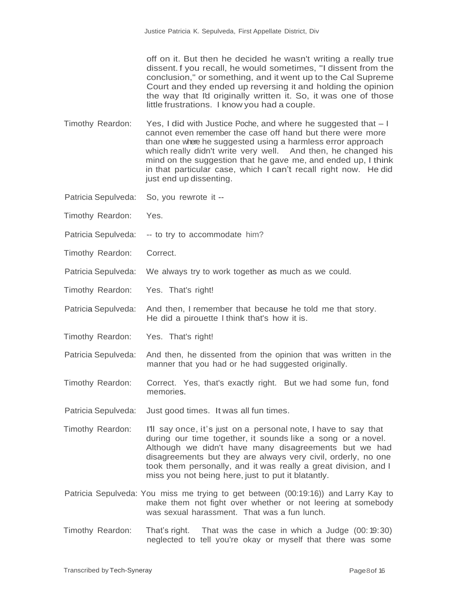off on it. But then he decided he wasn't writing a really true dissent. f you recall, he would sometimes, "I dissent from the conclusion," or something, and it went up to the Cal Supreme Court and they ended up reversing it and holding the opinion the way that I'd originally written it. So, it was one of those little frustrations. I know you had a couple.

- Timothy Reardon: Yes, I did with Justice Poche, and where he suggested that I cannot even remember the case off hand but there were more than one where he suggested using a harmless error approach which really didn't write very well. And then, he changed his mind on the suggestion that he gave me, and ended up, I think in that particular case, which I can't recall right now. He did just end up dissenting.
- Patricia Sepulveda: So, you rewrote it --

- Timothy Reardon: Yes.
- Patricia Sepulveda: -- to try to accommodate him?
- Timothy Reardon: Correct.
- Patricia Sepulveda: We always try to work together as much as we could.
- Timothy Reardon: Yes. That's right!
- Patricia Sepulveda: And then, I remember that because he told me that story. He did a pirouette I think that's how it is.
- Timothy Reardon: Yes. That's right!
- Patricia Sepulveda: And then, he dissented from the opinion that was written in the manner that you had or he had suggested originally.
- Timothy Reardon: Correct. Yes, that's exactly right. But we had some fun, fond memories.
- Patricia Sepulveda: Just good times. It was all fun times.
- Timothy Reardon: I'll say once, it's just on a personal note, I have to say that during our time together, it sounds like a song or a novel. Although we didn't have many disagreements but we had disagreements but they are always very civil, orderly, no one took them personally, and it was really a great division, and I miss you not being here, just to put it blatantly.
- Patricia Sepulveda: You miss me trying to get between (00:19:16)) and Larry Kay to make them not fight over whether or not leering at somebody was sexual harassment. That was a fun lunch.
- Timothy Reardon: That's right. That was the case in which a Judge (00: 19:30) neglected to tell you're okay or myself that there was some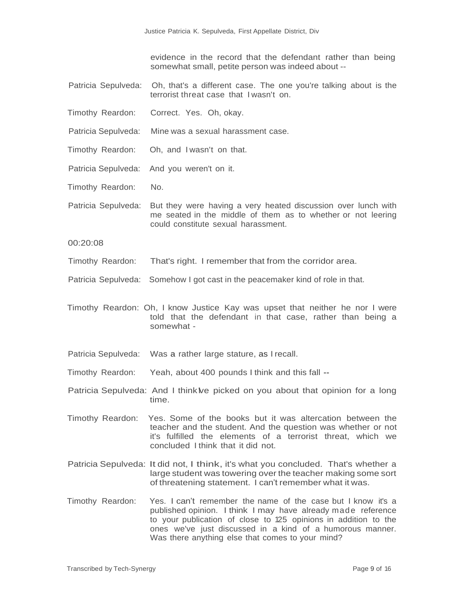evidence in the record that the defendant rather than being somewhat small, petite person was indeed about --

- Patricia Sepulveda: Oh, that's a different case. The one you're talking about is the terrorist threat case that I wasn't on.
- Timothy Reardon: Correct. Yes. Oh, okay.

One

- Patricia Sepulveda: Mine was a sexual harassment case.
- Timothy Reardon: Oh, and I wasn't on that.
- Patricia Sepulveda: And you weren't on it.
- Timothy Reardon: No.
- Patricia Sepulveda: But they were having a very heated discussion over lunch with me seated in the middle of them as to whether or not leering could constitute sexual harassment.

00:20:08

- Timothy Reardon: That's right. I remember that from the corridor area.
- Patricia Sepulveda: Somehow I got cast in the peacemaker kind of role in that.
- Timothy Reardon: Oh, I know Justice Kay was upset that neither he nor I were told that the defendant in that case, rather than being a somewhat -
- Patricia Sepulveda: Was a rather large stature, as I recall.
- Timothy Reardon: Yeah, about 400 pounds I think and this fall --
- Patricia Sepulveda: And I think ive picked on you about that opinion for a long time.
- Timothy Reardon: Yes. Some of the books but it was altercation between the teacher and the student. And the question was whether or not it's fulfilled the elements of a terrorist threat, which we concluded I think that it did not.
- Patricia Sepulveda: It did not, I think, it's what you concluded. That's whether a large student was towering over the teacher making some sort of threatening statement. I can't remember what it was.
- Timothy Reardon: Yes. I can't remember the name of the case but I know it's a published opinion. I think I may have already made reference to your publication of close to 125 opinions in addition to the ones we've just discussed in a kind of a humorous manner. Was there anything else that comes to your mind?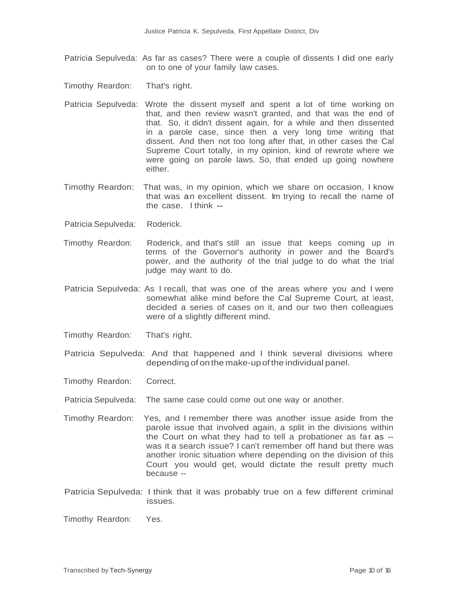- Patricia Sepulveda: As far as cases? There were a couple of dissents I did one early on to one of your family law cases.
- Timothy Reardon: That's right.

- Patricia Sepulveda: Wrote the dissent myself and spent a lot of time working on that, and then review wasn't granted, and that was the end of that. So, it didn't dissent again, for a while and then dissented in a parole case, since then a very long time writing that dissent. And then not too long after that, in other cases the Cal Supreme Court totally, in my opinion, kind of rewrote where we were going on parole laws. So, that ended up going nowhere either.
- Timothy Reardon: That was, in my opinion, which we share on occasion, I know that was an excellent dissent. Im trying to recall the name of the case. I think --
- Patricia Sepulveda: Roderick.
- Timothy Reardon: Roderick, and that's still an issue that keeps coming up in terms of the Governor's authority in power and the Board's power, and the authority of the trial judge to do what the trial judge may want to do.
- Patricia Sepulveda: As I recall, that was one of the areas where you and I were somewhat alike mind before the Cal Supreme Court, at least, decided a series of cases on it, and our two then colleagues were of a slightly different mind.
- Timothy Reardon: That's right.
- Patricia Sepulveda: And that happened and I think several divisions where depending of onthe make-upof the individual panel.
- Timothy Reardon: Correct.
- Patricia Sepulveda: The same case could come out one way or another.
- Timothy Reardon: Yes, and I remember there was another issue aside from the parole issue that involved again, a split in the divisions within the Court on what they had to tell a probationer as far as - was it a search issue? I can't remember off hand but there was another ironic situation where depending on the division of this Court you would get, would dictate the result pretty much because --
- Patricia Sepulveda: I think that it was probably true on a few different criminal issues.

Timothy Reardon: Yes.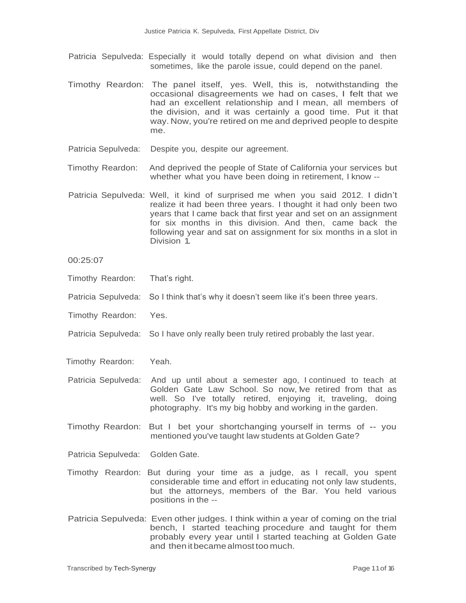- Patricia Sepulveda: Especially it would totally depend on what division and then sometimes, like the parole issue, could depend on the panel.
- Timothy Reardon: The panel itself, yes. Well, this is, notwithstanding the occasional disagreements we had on cases, I felt that we had an excellent relationship and I mean, all members of the division, and it was certainly a good time. Put it that way. Now, you're retired on me and deprived people to despite me.
- Patricia Sepulveda: Despite you, despite our agreement.

- Timothy Reardon: And deprived the people of State of California your services but whether what you have been doing in retirement, I know --
- Patricia Sepulveda: Well, it kind of surprised me when you said 2012. I didn't realize it had been three years. I thought it had only been two years that I came back that first year and set on an assignment for six months in this division. And then, came back the following year and sat on assignment for six months in a slot in Division 1.

00:25:07

- Timothy Reardon: That's right.
- Patricia Sepulveda: So I think that's why it doesn't seem like it's been three years.
- Timothy Reardon: Yes.
- Patricia Sepulveda: So I have only really been truly retired probably the last year.
- Timothy Reardon: Yeah.
- Patricia Sepulveda: And up until about a semester ago, I continued to teach at Golden Gate Law School. So now, Ive retired from that as well. So I've totally retired, enjoying it, traveling, doing photography. It's my big hobby and working in the garden.
- Timothy Reardon: But I bet your shortchanging yourself in terms of -- you mentioned you've taught law students at Golden Gate?
- Patricia Sepulveda: Golden Gate.
- Timothy Reardon: But during your time as a judge, as I recall, you spent considerable time and effort in educating not only law students, but the attorneys, members of the Bar. You held various positions in the --
- Patricia Sepulveda: Even other judges. I think within a year of coming on the trial bench, I started teaching procedure and taught for them probably every year until I started teaching at Golden Gate and then itbecamealmost too much.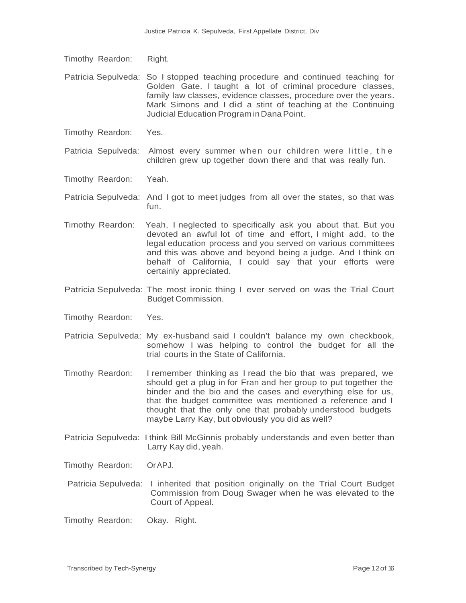Timothy Reardon: Right.

One

- Patricia Sepulveda: So I stopped teaching procedure and continued teaching for Golden Gate. I taught a lot of criminal procedure classes, family law classes, evidence classes, procedure over the years. Mark Simons and I did a stint of teaching at the Continuing Judicial Education Program inDanaPoint.
- Timothy Reardon: Yes.

Patricia Sepulveda: Almost every summer when our children were little, the children grew up together down there and that was really fun.

- Timothy Reardon: Yeah.
- Patricia Sepulveda: And I got to meet judges from all over the states, so that was fun.
- Timothy Reardon: Yeah, I neglected to specifically ask you about that. But you devoted an awful lot of time and effort, I might add, to the legal education process and you served on various committees and this was above and beyond being a judge. And I think on behalf of California, I could say that your efforts were certainly appreciated.
- Patricia Sepulveda: The most ironic thing I ever served on was the Trial Court Budget Commission.
- Timothy Reardon: Yes.
- Patricia Sepulveda: My ex-husband said I couldn't balance my own checkbook, somehow I was helping to control the budget for all the trial courts in the State of California.
- Timothy Reardon: I remember thinking as I read the bio that was prepared, we should get a plug in for Fran and her group to put together the binder and the bio and the cases and everything else for us, that the budget committee was mentioned a reference and I thought that the only one that probably understood budgets maybe Larry Kay, but obviously you did as well?
- Patricia Sepulveda: I think Bill McGinnis probably understands and even better than Larry Kay did, yeah.

Timothy Reardon: OrAPJ.

- Patricia Sepulveda: I inherited that position originally on the Trial Court Budget Commission from Doug Swager when he was elevated to the Court of Appeal.
- Timothy Reardon: Okay. Right.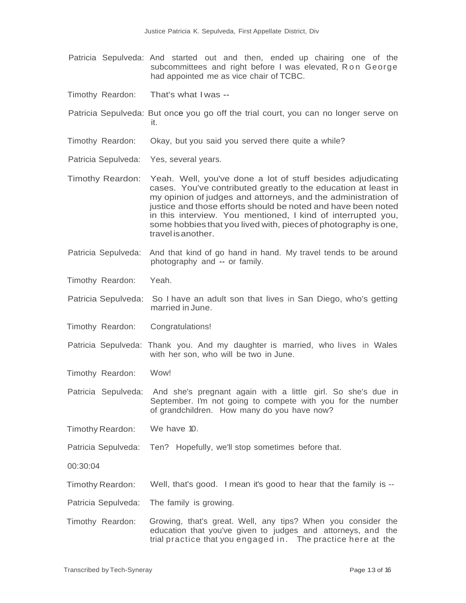- Patricia Sepulveda: And started out and then, ended up chairing one of the subcommittees and right before I was elevated, Ron George had appointed me as vice chair of TCBC.
- Timothy Reardon: That's what I was --

- Patricia Sepulveda: But once you go off the trial court, you can no longer serve on it.
- Timothy Reardon: Okay, but you said you served there quite a while?
- Patricia Sepulveda: Yes, several years.
- Timothy Reardon: Yeah. Well, you've done a lot of stuff besides adjudicating cases. You've contributed greatly to the education at least in my opinion of judges and attorneys, and the administration of justice and those efforts should be noted and have been noted in this interview. You mentioned, I kind of interrupted you, some hobbies that you lived with, pieces of photography is one, travel isanother.
- Patricia Sepulveda: And that kind of go hand in hand. My travel tends to be around photography and -- or family.
- Timothy Reardon: Yeah.
- Patricia Sepulveda: So I have an adult son that lives in San Diego, who's getting married in June.
- Timothy Reardon: Congratulations!
- Patricia Sepulveda: Thank you. And my daughter is married, who lives in Wales with her son, who will be two in June.
- Timothy Reardon: Wow!
- Patricia Sepulveda: And she's pregnant again with a little girl. So she's due in September. I'm not going to compete with you for the number of grandchildren. How many do you have now?
- Timothy Reardon: We have 10.
- Patricia Sepulveda: Ten? Hopefully, we'll stop sometimes before that.
- 00:30:04
- Timothy Reardon: Well, that's good. I mean it's good to hear that the family is --
- Patricia Sepulveda: The family is growing.
- Timothy Reardon: Growing, that's great. Well, any tips? When you consider the education that you've given to judges and attorneys, and the trial practice that you engaged in. The practice here at the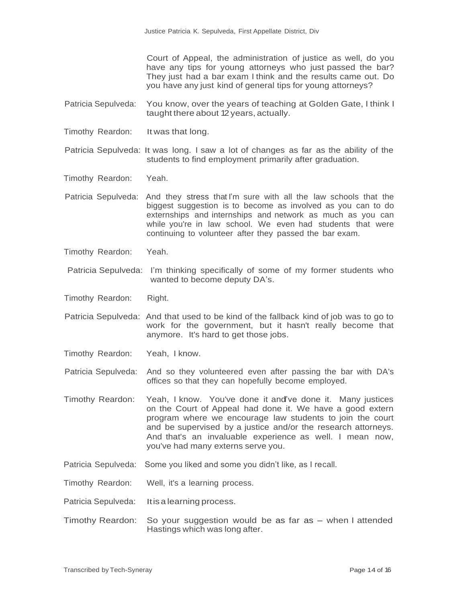Court of Appeal, the administration of justice as well, do you have any tips for young attorneys who just passed the bar? They just had a bar exam I think and the results came out. Do you have any just kind of general tips for young attorneys?

Patricia Sepulveda: You know, over the years of teaching at Golden Gate, I think I taught there about 12 years, actually.

Timothy Reardon: It was that long.

One

Patricia Sepulveda: It was long. I saw a lot of changes as far as the ability of the students to find employment primarily after graduation.

Timothy Reardon: Yeah.

- Patricia Sepulveda: And they stress that I'm sure with all the law schools that the biggest suggestion is to become as involved as you can to do externships and internships and network as much as you can while you're in law school. We even had students that were continuing to volunteer after they passed the bar exam.
- Timothy Reardon: Yeah.
- Patricia Sepulveda: I'm thinking specifically of some of my former students who wanted to become deputy DA's.
- Timothy Reardon: Right.
- Patricia Sepulveda: And that used to be kind of the fallback kind of job was to go to work for the government, but it hasn't really become that anymore. It's hard to get those jobs.
- Timothy Reardon: Yeah, I know.
- Patricia Sepulveda: And so they volunteered even after passing the bar with DA's offices so that they can hopefully become employed.
- Timothy Reardon: Yeah, I know. You've done it and've done it. Many justices on the Court of Appeal had done it. We have a good extern program where we encourage law students to join the court and be supervised by a justice and/or the research attorneys. And that's an invaluable experience as well. I mean now, you've had many externs serve you.
- Patricia Sepulveda: Some you liked and some you didn't like, as I recall.

Timothy Reardon: Well, it's a learning process.

- Patricia Sepulveda: Itis a learning process.
- Timothy Reardon: So your suggestion would be as far as when I attended Hastings which was long after.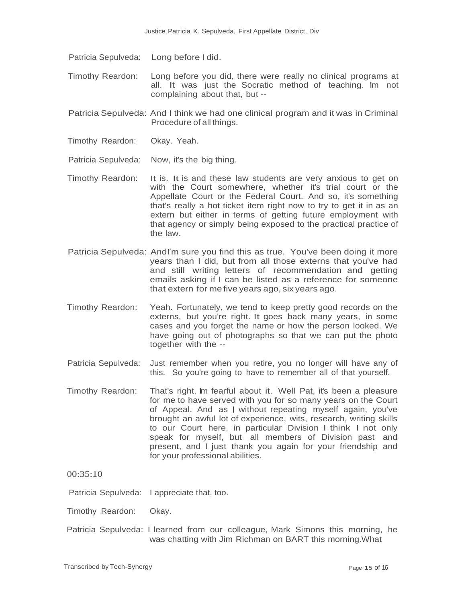Patricia Sepulveda: Long before I did.

One

- Timothy Reardon: Long before you did, there were really no clinical programs at all. It was just the Socratic method of teaching. Im not complaining about that, but --
- Patricia Sepulveda: And I think we had one clinical program and it was in Criminal Procedure of all things.
- Timothy Reardon: Okay. Yeah.
- Patricia Sepulveda: Now, it's the big thing.
- Timothy Reardon: It is. It is and these law students are very anxious to get on with the Court somewhere, whether it's trial court or the Appellate Court or the Federal Court. And so, it's something that's really a hot ticket item right now to try to get it in as an extern but either in terms of getting future employment with that agency or simply being exposed to the practical practice of the law.
- Patricia Sepulveda: Andi'm sure you find this as true. You've been doing it more years than I did, but from all those externs that you've had and still writing letters of recommendation and getting emails asking if I can be listed as a reference for someone that extern for me five years ago, six years ago.
- Timothy Reardon: Yeah. Fortunately, we tend to keep pretty good records on the externs, but you're right. It goes back many years, in some cases and you forget the name or how the person looked. We have going out of photographs so that we can put the photo together with the --
- Patricia Sepulveda: Just remember when you retire, you no longer will have any of this. So you're going to have to remember all of that yourself.
- Timothy Reardon: That's right. Im fearful about it. Well Pat, it's been a pleasure for me to have served with you for so many years on the Court of Appeal. And as I without repeating myself again, you've brought an awful lot of experience, wits, research, writing skills to our Court here, in particular Division. I think I not only speak for myself, but all members of Division past and present, and I just thank you again for your friendship and for your professional abilities.

00:35:10

Patricia Sepulveda: I appreciate that, too.

Timothy Reardon: Okay.

Patricia Sepulveda: I learned from our colleague, Mark Simons this morning, he was chatting with Jim Richman on BART this morning. What